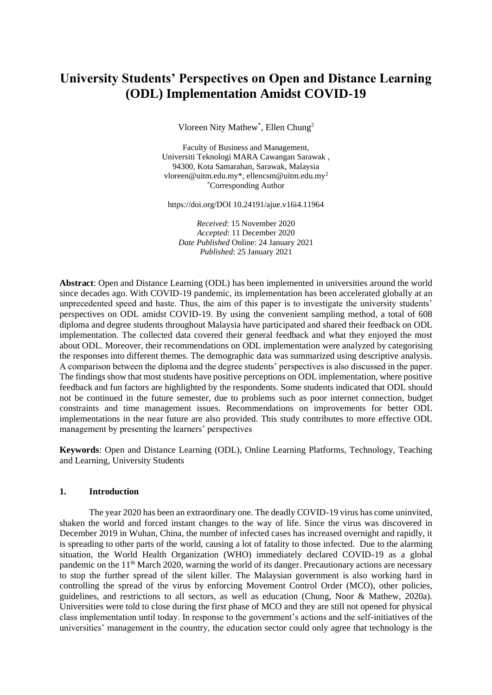# **University Students' Perspectives on Open and Distance Learning (ODL) Implementation Amidst COVID-19**

Vloreen Nity Mathew<sup>\*</sup>, Ellen Chung<sup>2</sup>

Faculty of Business and Management, Universiti Teknologi MARA Cawangan Sarawak , 94300, Kota Samarahan, Sarawak, Malaysia vloreen@uitm.edu.my\*, [ellencsm@uitm.edu.my](mailto:ellencsm@uitm.edu.my2)<sup>2</sup> \*Corresponding Author

https://doi.org/DOI 10.24191/ajue.v16i4.11964

*Received*: 15 November 2020 *Accepted*: 11 December 2020 *Date Published* Online: 24 January 2021 *Published*: 25 January 2021

**Abstract**: Open and Distance Learning (ODL) has been implemented in universities around the world since decades ago. With COVID-19 pandemic, its implementation has been accelerated globally at an unprecedented speed and haste. Thus, the aim of this paper is to investigate the university students' perspectives on ODL amidst COVID-19. By using the convenient sampling method, a total of 608 diploma and degree students throughout Malaysia have participated and shared their feedback on ODL implementation. The collected data covered their general feedback and what they enjoyed the most about ODL. Moreover, their recommendations on ODL implementation were analyzed by categorising the responses into different themes. The demographic data was summarized using descriptive analysis. A comparison between the diploma and the degree students' perspectives is also discussed in the paper. The findings show that most students have positive perceptions on ODL implementation, where positive feedback and fun factors are highlighted by the respondents. Some students indicated that ODL should not be continued in the future semester, due to problems such as poor internet connection, budget constraints and time management issues. Recommendations on improvements for better ODL implementations in the near future are also provided. This study contributes to more effective ODL management by presenting the learners' perspectives

**Keywords**: Open and Distance Learning (ODL), Online Learning Platforms, Technology, Teaching and Learning, University Students

#### **1. Introduction**

The year 2020 has been an extraordinary one. The deadly COVID-19 virus has come uninvited, shaken the world and forced instant changes to the way of life. Since the virus was discovered in December 2019 in Wuhan, China, the number of infected cases has increased overnight and rapidly, it is spreading to other parts of the world, causing a lot of fatality to those infected. Due to the alarming situation, the World Health Organization (WHO) immediately declared COVID-19 as a global pandemic on the 11<sup>th</sup> March 2020, warning the world of its danger. Precautionary actions are necessary to stop the further spread of the silent killer. The Malaysian government is also working hard in controlling the spread of the virus by enforcing Movement Control Order (MCO), other policies, guidelines, and restrictions to all sectors, as well as education (Chung, Noor & Mathew, 2020a). Universities were told to close during the first phase of MCO and they are still not opened for physical class implementation until today. In response to the government's actions and the self-initiatives of the universities' management in the country, the education sector could only agree that technology is the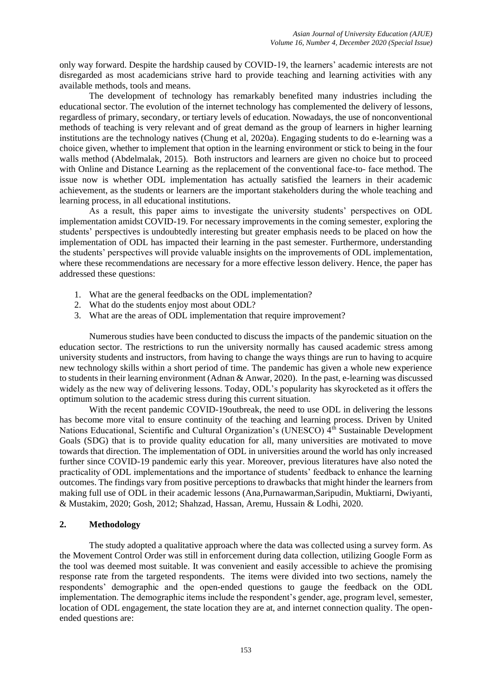only way forward. Despite the hardship caused by COVID-19, the learners' academic interests are not disregarded as most academicians strive hard to provide teaching and learning activities with any available methods, tools and means.

The development of technology has remarkably benefited many industries including the educational sector. The evolution of the internet technology has complemented the delivery of lessons, regardless of primary, secondary, or tertiary levels of education. Nowadays, the use of nonconventional methods of teaching is very relevant and of great demand as the group of learners in higher learning institutions are the technology natives (Chung et al, 2020a). Engaging students to do e-learning was a choice given, whether to implement that option in the learning environment or stick to being in the four walls method (Abdelmalak, 2015). Both instructors and learners are given no choice but to proceed with Online and Distance Learning as the replacement of the conventional face-to- face method. The issue now is whether ODL implementation has actually satisfied the learners in their academic achievement, as the students or learners are the important stakeholders during the whole teaching and learning process, in all educational institutions.

As a result, this paper aims to investigate the university students' perspectives on ODL implementation amidst COVID-19. For necessary improvements in the coming semester, exploring the students' perspectives is undoubtedly interesting but greater emphasis needs to be placed on how the implementation of ODL has impacted their learning in the past semester. Furthermore, understanding the students' perspectives will provide valuable insights on the improvements of ODL implementation, where these recommendations are necessary for a more effective lesson delivery. Hence, the paper has addressed these questions:

- 1. What are the general feedbacks on the ODL implementation?
- 2. What do the students enjoy most about ODL?
- 3. What are the areas of ODL implementation that require improvement?

Numerous studies have been conducted to discuss the impacts of the pandemic situation on the education sector. The restrictions to run the university normally has caused academic stress among university students and instructors, from having to change the ways things are run to having to acquire new technology skills within a short period of time. The pandemic has given a whole new experience to students in their learning environment (Adnan & Anwar, 2020). In the past, e-learning was discussed widely as the new way of delivering lessons. Today, ODL's popularity has skyrocketed as it offers the optimum solution to the academic stress during this current situation.

With the recent pandemic COVID-19outbreak, the need to use ODL in delivering the lessons has become more vital to ensure continuity of the teaching and learning process. Driven by United Nations Educational, Scientific and Cultural Organization's (UNESCO) 4<sup>th</sup> Sustainable Development Goals (SDG) that is to provide quality education for all, many universities are motivated to move towards that direction. The implementation of ODL in universities around the world has only increased further since COVID-19 pandemic early this year. Moreover, previous literatures have also noted the practicality of ODL implementations and the importance of students' feedback to enhance the learning outcomes. The findings vary from positive perceptions to drawbacks that might hinder the learners from making full use of ODL in their academic lessons (Ana,Purnawarman,Saripudin, Muktiarni, Dwiyanti, & Mustakim, 2020; Gosh, 2012; Shahzad, Hassan, Aremu, Hussain & Lodhi, 2020.

# **2. Methodology**

The study adopted a qualitative approach where the data was collected using a survey form. As the Movement Control Order was still in enforcement during data collection, utilizing Google Form as the tool was deemed most suitable. It was convenient and easily accessible to achieve the promising response rate from the targeted respondents. The items were divided into two sections, namely the respondents' demographic and the open-ended questions to gauge the feedback on the ODL implementation. The demographic items include the respondent's gender, age, program level, semester, location of ODL engagement, the state location they are at, and internet connection quality. The openended questions are: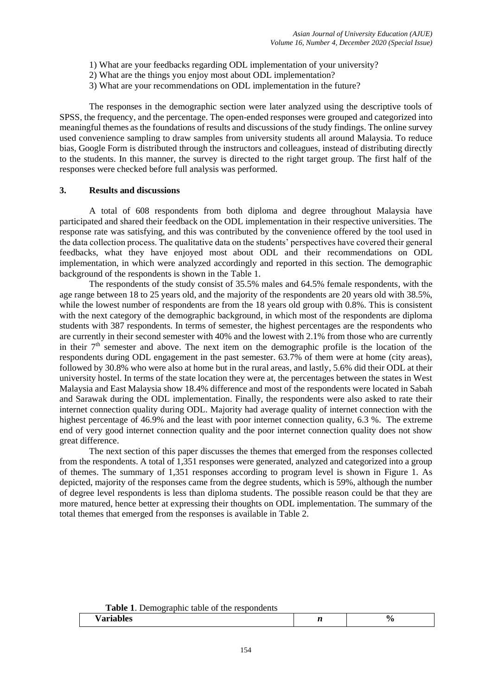- 1) What are your feedbacks regarding ODL implementation of your university?
- 2) What are the things you enjoy most about ODL implementation?
- 3) What are your recommendations on ODL implementation in the future?

The responses in the demographic section were later analyzed using the descriptive tools of SPSS, the frequency, and the percentage. The open-ended responses were grouped and categorized into meaningful themes as the foundations of results and discussions of the study findings. The online survey used convenience sampling to draw samples from university students all around Malaysia. To reduce bias, Google Form is distributed through the instructors and colleagues, instead of distributing directly to the students. In this manner, the survey is directed to the right target group. The first half of the responses were checked before full analysis was performed.

### **3. Results and discussions**

A total of 608 respondents from both diploma and degree throughout Malaysia have participated and shared their feedback on the ODL implementation in their respective universities. The response rate was satisfying, and this was contributed by the convenience offered by the tool used in the data collection process. The qualitative data on the students' perspectives have covered their general feedbacks, what they have enjoyed most about ODL and their recommendations on ODL implementation, in which were analyzed accordingly and reported in this section. The demographic background of the respondents is shown in the Table 1.

The respondents of the study consist of 35.5% males and 64.5% female respondents, with the age range between 18 to 25 years old, and the majority of the respondents are 20 years old with 38.5%, while the lowest number of respondents are from the 18 years old group with 0.8%. This is consistent with the next category of the demographic background, in which most of the respondents are diploma students with 387 respondents. In terms of semester, the highest percentages are the respondents who are currently in their second semester with 40% and the lowest with 2.1% from those who are currently in their  $7<sup>th</sup>$  semester and above. The next item on the demographic profile is the location of the respondents during ODL engagement in the past semester. 63.7% of them were at home (city areas), followed by 30.8% who were also at home but in the rural areas, and lastly, 5.6% did their ODL at their university hostel. In terms of the state location they were at, the percentages between the states in West Malaysia and East Malaysia show 18.4% difference and most of the respondents were located in Sabah and Sarawak during the ODL implementation. Finally, the respondents were also asked to rate their internet connection quality during ODL. Majority had average quality of internet connection with the highest percentage of 46.9% and the least with poor internet connection quality, 6.3 %. The extreme end of very good internet connection quality and the poor internet connection quality does not show great difference.

The next section of this paper discusses the themes that emerged from the responses collected from the respondents. A total of 1,351 responses were generated, analyzed and categorized into a group of themes. The summary of 1,351 responses according to program level is shown in Figure 1. As depicted, majority of the responses came from the degree students, which is 59%, although the number of degree level respondents is less than diploma students. The possible reason could be that they are more matured, hence better at expressing their thoughts on ODL implementation. The summary of the total themes that emerged from the responses is available in Table 2.

| <b>Table 1.</b> Demographic table of the respondents |  |
|------------------------------------------------------|--|
|                                                      |  |

| ື້<br> |  |
|--------|--|
|        |  |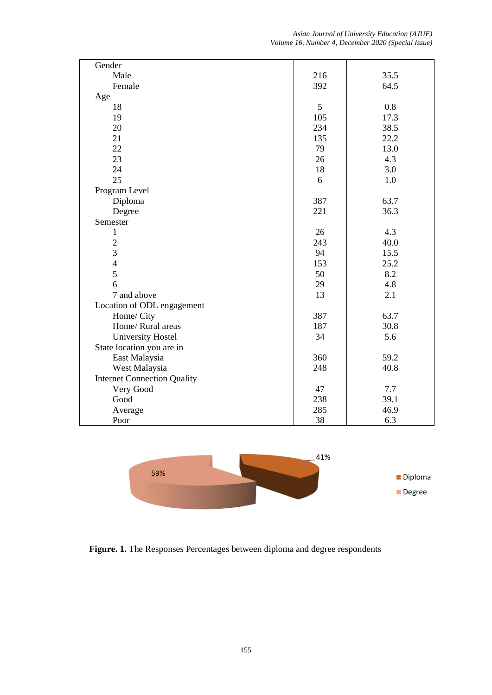*Asian Journal of University Education (AJUE) Volume 16, Number 4, December 2020 (Special Issue)*

| Gender                             |     |      |
|------------------------------------|-----|------|
| Male                               | 216 | 35.5 |
| Female                             | 392 | 64.5 |
| Age                                |     |      |
| 18                                 | 5   | 0.8  |
| 19                                 | 105 | 17.3 |
| 20                                 | 234 | 38.5 |
| 21                                 | 135 | 22.2 |
| 22                                 | 79  | 13.0 |
| 23                                 | 26  | 4.3  |
| 24                                 | 18  | 3.0  |
| 25                                 | 6   | 1.0  |
| Program Level                      |     |      |
| Diploma                            | 387 | 63.7 |
| Degree                             | 221 | 36.3 |
| Semester                           |     |      |
| 1                                  | 26  | 4.3  |
| $\overline{c}$                     | 243 | 40.0 |
| $\overline{3}$                     | 94  | 15.5 |
| $\overline{4}$                     | 153 | 25.2 |
| 5                                  | 50  | 8.2  |
| 6                                  | 29  | 4.8  |
| 7 and above                        | 13  | 2.1  |
| Location of ODL engagement         |     |      |
| Home/ City                         | 387 | 63.7 |
| Home/ Rural areas                  | 187 | 30.8 |
| <b>University Hostel</b>           | 34  | 5.6  |
| State location you are in          |     |      |
| East Malaysia                      | 360 | 59.2 |
| West Malaysia                      | 248 | 40.8 |
| <b>Internet Connection Quality</b> |     |      |
| Very Good                          | 47  | 7.7  |
| Good                               | 238 | 39.1 |
| Average                            | 285 | 46.9 |
| Poor                               | 38  | 6.3  |



**Figure. 1.** The Responses Percentages between diploma and degree respondents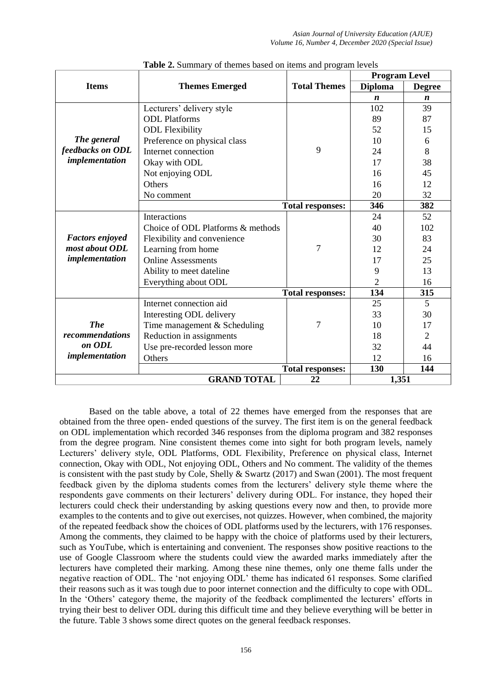|                        |                                   |                         | <b>Program Level</b> |                  |
|------------------------|-----------------------------------|-------------------------|----------------------|------------------|
| <b>Items</b>           | <b>Themes Emerged</b>             | <b>Total Themes</b>     | <b>Diploma</b>       | <b>Degree</b>    |
|                        |                                   |                         | $\boldsymbol{n}$     | $\boldsymbol{n}$ |
|                        | Lecturers' delivery style         |                         | 102                  | 39               |
|                        | <b>ODL</b> Platforms              |                         | 89                   | 87               |
|                        | <b>ODL Flexibility</b>            |                         | 52                   | 15               |
| The general            | Preference on physical class      |                         | 10                   | 6                |
| feedbacks on ODL       | Internet connection               | 9                       | 24                   | 8                |
| implementation         | Okay with ODL                     |                         | 17                   | 38               |
|                        | Not enjoying ODL                  |                         | 16                   | 45               |
|                        | Others                            |                         | 16                   | 12               |
|                        | No comment                        |                         | 20                   | 32               |
|                        |                                   | <b>Total responses:</b> | 346                  | 382              |
|                        | <b>Interactions</b>               |                         | 24                   | 52               |
|                        | Choice of ODL Platforms & methods |                         | 40                   | 102              |
| <b>Factors enjoyed</b> | Flexibility and convenience       |                         | 30                   | 83               |
| most about ODL         | Learning from home                | 7                       | 12                   | 24               |
| implementation         | <b>Online Assessments</b>         |                         | 17                   | 25               |
|                        | Ability to meet dateline          |                         | 9                    | 13               |
|                        | Everything about ODL              |                         | $\overline{2}$       | 16               |
|                        |                                   | <b>Total responses:</b> | 134                  | 315              |
|                        | Internet connection aid           |                         | 25                   | 5                |
|                        | Interesting ODL delivery          |                         | 33                   | 30               |
| <b>The</b>             | Time management & Scheduling      | 7                       | 10                   | 17               |
| recommendations        | Reduction in assignments          |                         | 18                   | 2                |
| on ODL                 | Use pre-recorded lesson more      |                         | 32                   | 44               |
| implementation         | Others                            |                         | 12                   | 16               |
|                        |                                   | <b>Total responses:</b> | 130                  | 144              |
|                        | <b>GRAND TOTAL</b>                | 22                      | 1,351                |                  |

| Table 2. Summary of themes based on items and program levels |  |  |  |  |  |  |
|--------------------------------------------------------------|--|--|--|--|--|--|
|--------------------------------------------------------------|--|--|--|--|--|--|

Based on the table above, a total of 22 themes have emerged from the responses that are obtained from the three open- ended questions of the survey. The first item is on the general feedback on ODL implementation which recorded 346 responses from the diploma program and 382 responses from the degree program. Nine consistent themes come into sight for both program levels, namely Lecturers' delivery style, ODL Platforms, ODL Flexibility, Preference on physical class, Internet connection, Okay with ODL, Not enjoying ODL, Others and No comment. The validity of the themes is consistent with the past study by Cole, Shelly & Swartz (2017) and Swan (2001). The most frequent feedback given by the diploma students comes from the lecturers' delivery style theme where the respondents gave comments on their lecturers' delivery during ODL. For instance, they hoped their lecturers could check their understanding by asking questions every now and then, to provide more examples to the contents and to give out exercises, not quizzes. However, when combined, the majority of the repeated feedback show the choices of ODL platforms used by the lecturers, with 176 responses. Among the comments, they claimed to be happy with the choice of platforms used by their lecturers, such as YouTube, which is entertaining and convenient. The responses show positive reactions to the use of Google Classroom where the students could view the awarded marks immediately after the lecturers have completed their marking. Among these nine themes, only one theme falls under the negative reaction of ODL. The 'not enjoying ODL' theme has indicated 61 responses. Some clarified their reasons such as it was tough due to poor internet connection and the difficulty to cope with ODL. In the 'Others' category theme, the majority of the feedback complimented the lecturers' efforts in trying their best to deliver ODL during this difficult time and they believe everything will be better in the future. Table 3 shows some direct quotes on the general feedback responses.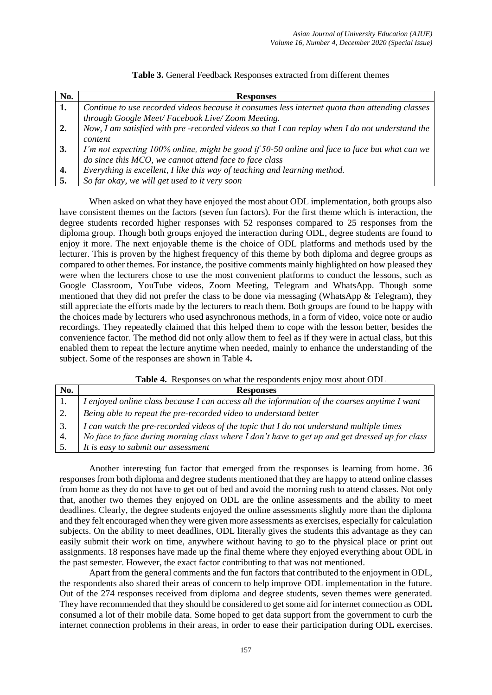| Table 3. General Feedback Responses extracted from different themes |
|---------------------------------------------------------------------|
|---------------------------------------------------------------------|

| No. | <b>Responses</b>                                                                                                                                     |
|-----|------------------------------------------------------------------------------------------------------------------------------------------------------|
| 1.  | Continue to use recorded videos because it consumes less internet quota than attending classes                                                       |
|     | through Google Meet/ Facebook Live/Zoom Meeting.                                                                                                     |
| 2.  | Now, I am satisfied with pre-recorded videos so that I can replay when I do not understand the                                                       |
|     | content                                                                                                                                              |
| 3.  | I'm not expecting 100% online, might be good if 50-50 online and face to face but what can we do since this MCO, we cannot attend face to face class |
|     |                                                                                                                                                      |
| 4.  | Everything is excellent, I like this way of teaching and learning method.                                                                            |
| -5. | So far okay, we will get used to it very soon                                                                                                        |

When asked on what they have enjoyed the most about ODL implementation, both groups also have consistent themes on the factors (seven fun factors). For the first theme which is interaction, the degree students recorded higher responses with 52 responses compared to 25 responses from the diploma group. Though both groups enjoyed the interaction during ODL, degree students are found to enjoy it more. The next enjoyable theme is the choice of ODL platforms and methods used by the lecturer. This is proven by the highest frequency of this theme by both diploma and degree groups as compared to other themes. For instance, the positive comments mainly highlighted on how pleased they were when the lecturers chose to use the most convenient platforms to conduct the lessons, such as Google Classroom, YouTube videos, Zoom Meeting, Telegram and WhatsApp. Though some mentioned that they did not prefer the class to be done via messaging (WhatsApp & Telegram), they still appreciate the efforts made by the lecturers to reach them. Both groups are found to be happy with the choices made by lecturers who used asynchronous methods, in a form of video, voice note or audio recordings. They repeatedly claimed that this helped them to cope with the lesson better, besides the convenience factor. The method did not only allow them to feel as if they were in actual class, but this enabled them to repeat the lecture anytime when needed, mainly to enhance the understanding of the subject. Some of the responses are shown in Table 4**.**

**Table 4.** Responses on what the respondents enjoy most about ODL

| No. | <b>Responses</b>                                                                                                                                                                                                 |
|-----|------------------------------------------------------------------------------------------------------------------------------------------------------------------------------------------------------------------|
|     | I enjoyed online class because I can access all the information of the courses anytime I want                                                                                                                    |
|     | Being able to repeat the pre-recorded video to understand better                                                                                                                                                 |
|     | 3. $\begin{bmatrix} I can watch the pre-recorded videos of the topic that I do not understand multiple times \\ No face to face during morning class where I don't have to get up and get dressed up for class.$ |
|     |                                                                                                                                                                                                                  |
|     | It is easy to submit our assessment                                                                                                                                                                              |

Another interesting fun factor that emerged from the responses is learning from home. 36 responses from both diploma and degree students mentioned that they are happy to attend online classes from home as they do not have to get out of bed and avoid the morning rush to attend classes. Not only that, another two themes they enjoyed on ODL are the online assessments and the ability to meet deadlines. Clearly, the degree students enjoyed the online assessments slightly more than the diploma and they felt encouraged when they were given more assessments as exercises, especially for calculation subjects. On the ability to meet deadlines, ODL literally gives the students this advantage as they can easily submit their work on time, anywhere without having to go to the physical place or print out assignments. 18 responses have made up the final theme where they enjoyed everything about ODL in the past semester. However, the exact factor contributing to that was not mentioned.

Apart from the general comments and the fun factors that contributed to the enjoyment in ODL, the respondents also shared their areas of concern to help improve ODL implementation in the future. Out of the 274 responses received from diploma and degree students, seven themes were generated. They have recommended that they should be considered to get some aid for internet connection as ODL consumed a lot of their mobile data. Some hoped to get data support from the government to curb the internet connection problems in their areas, in order to ease their participation during ODL exercises.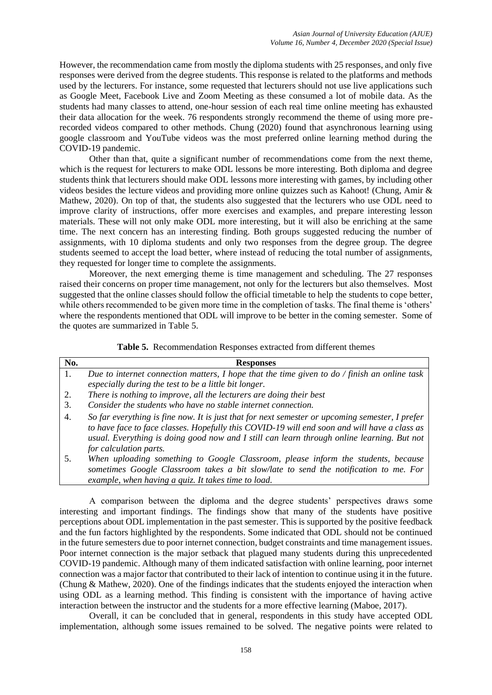However, the recommendation came from mostly the diploma students with 25 responses, and only five responses were derived from the degree students. This response is related to the platforms and methods used by the lecturers. For instance, some requested that lecturers should not use live applications such as Google Meet, Facebook Live and Zoom Meeting as these consumed a lot of mobile data. As the students had many classes to attend, one-hour session of each real time online meeting has exhausted their data allocation for the week. 76 respondents strongly recommend the theme of using more prerecorded videos compared to other methods. Chung (2020) found that asynchronous learning using google classroom and YouTube videos was the most preferred online learning method during the COVID-19 pandemic.

Other than that, quite a significant number of recommendations come from the next theme, which is the request for lecturers to make ODL lessons be more interesting. Both diploma and degree students think that lecturers should make ODL lessons more interesting with games, by including other videos besides the lecture videos and providing more online quizzes such as Kahoot! (Chung, Amir & Mathew, 2020). On top of that, the students also suggested that the lecturers who use ODL need to improve clarity of instructions, offer more exercises and examples, and prepare interesting lesson materials. These will not only make ODL more interesting, but it will also be enriching at the same time. The next concern has an interesting finding. Both groups suggested reducing the number of assignments, with 10 diploma students and only two responses from the degree group. The degree students seemed to accept the load better, where instead of reducing the total number of assignments, they requested for longer time to complete the assignments.

Moreover, the next emerging theme is time management and scheduling. The 27 responses raised their concerns on proper time management, not only for the lecturers but also themselves. Most suggested that the online classes should follow the official timetable to help the students to cope better, while others recommended to be given more time in the completion of tasks. The final theme is 'others' where the respondents mentioned that ODL will improve to be better in the coming semester. Some of the quotes are summarized in Table 5.

|  | Table 5. Recommendation Responses extracted from different themes |  |  |  |  |  |
|--|-------------------------------------------------------------------|--|--|--|--|--|
|--|-------------------------------------------------------------------|--|--|--|--|--|

| No. | <b>Responses</b>                                                                                                                                                          |
|-----|---------------------------------------------------------------------------------------------------------------------------------------------------------------------------|
| 1.  | Due to internet connection matters, I hope that the time given to $do/$ finish an online task                                                                             |
|     | especially during the test to be a little bit longer.                                                                                                                     |
| 2.  | There is nothing to improve, all the lecturers are doing their best                                                                                                       |
| 3.  | Consider the students who have no stable internet connection.                                                                                                             |
| 4.  | So far everything is fine now. It is just that for next semester or upcoming semester, I prefer                                                                           |
|     | to have face to face classes. Hopefully this COVID-19 will end soon and will have a class as                                                                              |
|     | usual. Everything is doing good now and I still can learn through online learning. But not                                                                                |
|     | for calculation parts.                                                                                                                                                    |
| 5.  | When uploading something to Google Classroom, please inform the students, because<br>sometimes Google Classroom takes a bit slow/late to send the notification to me. For |

*example, when having a quiz. It takes time to load.*

A comparison between the diploma and the degree students' perspectives draws some interesting and important findings. The findings show that many of the students have positive perceptions about ODL implementation in the past semester. This is supported by the positive feedback and the fun factors highlighted by the respondents. Some indicated that ODL should not be continued in the future semesters due to poor internet connection, budget constraints and time management issues. Poor internet connection is the major setback that plagued many students during this unprecedented COVID-19 pandemic. Although many of them indicated satisfaction with online learning, poor internet connection was a major factor that contributed to their lack of intention to continue using it in the future. (Chung & Mathew, 2020). One of the findings indicates that the students enjoyed the interaction when using ODL as a learning method. This finding is consistent with the importance of having active interaction between the instructor and the students for a more effective learning (Maboe, 2017).

Overall, it can be concluded that in general, respondents in this study have accepted ODL implementation, although some issues remained to be solved. The negative points were related to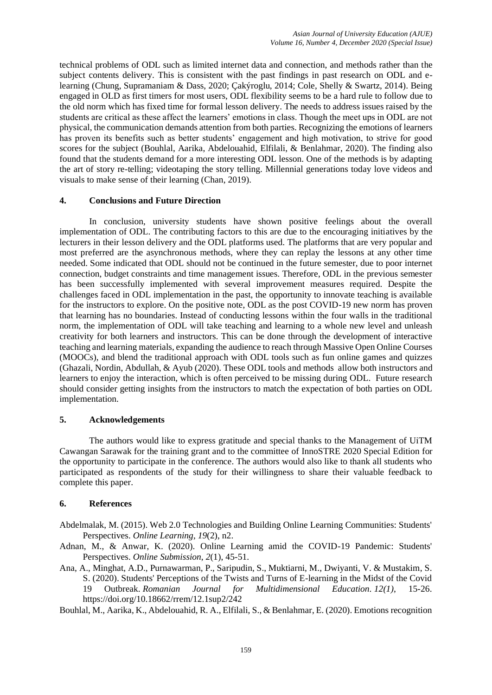technical problems of ODL such as limited internet data and connection, and methods rather than the subject contents delivery. This is consistent with the past findings in past research on ODL and elearning (Chung, Supramaniam & Dass, 2020; Çakýroglu, 2014; Cole, Shelly & Swartz, 2014). Being engaged in OLD as first timers for most users, ODL flexibility seems to be a hard rule to follow due to the old norm which has fixed time for formal lesson delivery. The needs to address issues raised by the students are critical as these affect the learners' emotions in class. Though the meet ups in ODL are not physical, the communication demands attention from both parties. Recognizing the emotions of learners has proven its benefits such as better students' engagement and high motivation, to strive for good scores for the subject (Bouhlal, Aarika, Abdelouahid, Elfilali, & Benlahmar, 2020). The finding also found that the students demand for a more interesting ODL lesson. One of the methods is by adapting the art of story re-telling; videotaping the story telling. Millennial generations today love videos and visuals to make sense of their learning (Chan, 2019).

# **4. Conclusions and Future Direction**

In conclusion, university students have shown positive feelings about the overall implementation of ODL. The contributing factors to this are due to the encouraging initiatives by the lecturers in their lesson delivery and the ODL platforms used. The platforms that are very popular and most preferred are the asynchronous methods, where they can replay the lessons at any other time needed. Some indicated that ODL should not be continued in the future semester, due to poor internet connection, budget constraints and time management issues. Therefore, ODL in the previous semester has been successfully implemented with several improvement measures required. Despite the challenges faced in ODL implementation in the past, the opportunity to innovate teaching is available for the instructors to explore. On the positive note, ODL as the post COVID-19 new norm has proven that learning has no boundaries. Instead of conducting lessons within the four walls in the traditional norm, the implementation of ODL will take teaching and learning to a whole new level and unleash creativity for both learners and instructors. This can be done through the development of interactive teaching and learning materials, expanding the audience to reach through Massive Open Online Courses (MOOCs), and blend the traditional approach with ODL tools such as fun online games and quizzes (Ghazali, Nordin, Abdullah, & Ayub (2020). These ODL tools and methods allow both instructors and learners to enjoy the interaction, which is often perceived to be missing during ODL. Future research should consider getting insights from the instructors to match the expectation of both parties on ODL implementation.

## **5. Acknowledgements**

The authors would like to express gratitude and special thanks to the Management of UiTM Cawangan Sarawak for the training grant and to the committee of InnoSTRE 2020 Special Edition for the opportunity to participate in the conference. The authors would also like to thank all students who participated as respondents of the study for their willingness to share their valuable feedback to complete this paper.

## **6. References**

Abdelmalak, M. (2015). Web 2.0 Technologies and Building Online Learning Communities: Students' Perspectives. *Online Learning*, *19*(2), n2.

- Adnan, M., & Anwar, K. (2020). Online Learning amid the COVID-19 Pandemic: Students' Perspectives. *Online Submission*, *2*(1), 45-51.
- Ana, A., Minghat, A.D., Purnawarman, P., Saripudin, S., Muktiarni, M., Dwiyanti, V. & Mustakim, S. S. (2020). Students' Perceptions of the Twists and Turns of E-learning in the Midst of the Covid
	- 19 Outbreak. *Romanian Journal for Multidimensional Education. 12(1)*, 15-26. https://doi.org/10.18662/rrem/12.1sup2/242

Bouhlal, M., Aarika, K., Abdelouahid, R. A., Elfilali, S., & Benlahmar, E. (2020). Emotions recognition